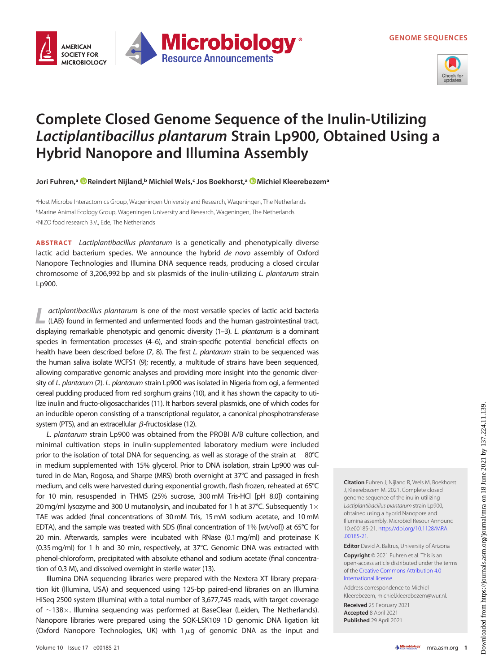GENOME SEQUENCES



## Complete Closed Genome Sequence of the Inulin-Utilizing Lactiplantibacillus plantarum Strain Lp900, Obtained Using a Hybrid Nanopore and Illumina Assembly

**Microbiology** 

**Resource Announcements** 

Jori Fuhren,ª © [Reindert Nijland](https://orcid.org/0000-0003-0049-3768),ʰ Michiel Wels,‹ Jos Boekhorst,ª © Michiel Kleerebezemª

aHost Microbe Interactomics Group, Wageningen University and Research, Wageningen, The Netherlands bMarine Animal Ecology Group, Wageningen University and Research, Wageningen, The Netherlands c NIZO food research B.V., Ede, The Netherlands

ABSTRACT Lactiplantibacillus plantarum is a genetically and phenotypically diverse lactic acid bacterium species. We announce the hybrid de novo assembly of Oxford Nanopore Technologies and Illumina DNA sequence reads, producing a closed circular chromosome of 3,206,992 bp and six plasmids of the inulin-utilizing L. plantarum strain Lp900.

L actiplantibacillus plantarum is one of the most versatile species of lactic acid bacteria (LAB) found in fermented and unfermented foods and the human gastrointestinal tract, displaying remarkable phenotypic and genomic diversity [\(1](#page-1-0)-[3](#page-1-2)). L. plantarum is a dominant species in fermentation processes [\(4](#page-1-3)[–](#page-1-4)[6\)](#page-1-5), and strain-specific potential beneficial effects on health have been described before [\(7](#page-1-6), [8\)](#page-1-7). The first L. plantarum strain to be sequenced was the human saliva isolate WCFS1 [\(9](#page-1-8)); recently, a multitude of strains have been sequenced, allowing comparative genomic analyses and providing more insight into the genomic diver-sity of L. plantarum ([2\)](#page-1-1). L. plantarum strain Lp900 was isolated in Nigeria from ogi, a fermented cereal pudding produced from red sorghum grains [\(10](#page-1-9)), and it has shown the capacity to utilize inulin and fructo-oligosaccharides [\(11\)](#page-1-10). It harbors several plasmids, one of which codes for an inducible operon consisting of a transcriptional regulator, a canonical phosphotransferase system (PTS), and an extracellular  $\beta$ -fructosidase [\(12\)](#page-1-11).

L. plantarum strain Lp900 was obtained from the PROBI A/B culture collection, and minimal cultivation steps in inulin-supplemented laboratory medium were included prior to the isolation of total DNA for sequencing, as well as storage of the strain at  $-80^{\circ}$ C in medium supplemented with 15% glycerol. Prior to DNA isolation, strain Lp900 was cultured in de Man, Rogosa, and Sharpe (MRS) broth overnight at 37°C and passaged in fresh medium, and cells were harvested during exponential growth, flash frozen, reheated at 65°C for 10 min, resuspended in THMS (25% sucrose, 300mM Tris-HCl [pH 8.0]) containing 20 mg/ml lysozyme and 300 U mutanolysin, and incubated for 1 h at 37 $^{\circ}$ C. Subsequently 1 $\times$ TAE was added (final concentrations of 30mM Tris, 15mM sodium acetate, and 10mM EDTA), and the sample was treated with SDS (final concentration of 1% [wt/vol]) at 65 $\degree$ C for 20 min. Afterwards, samples were incubated with RNase (0.1mg/ml) and proteinase K (0.35 mg/ml) for 1 h and 30 min, respectively, at 37°C. Genomic DNA was extracted with phenol-chloroform, precipitated with absolute ethanol and sodium acetate (final concentration of 0.3 M), and dissolved overnight in sterile water ([13](#page-1-12)).

Illumina DNA sequencing libraries were prepared with the Nextera XT library preparation kit (Illumina, USA) and sequenced using 125-bp paired-end libraries on an Illumina HiSeq 2500 system (Illumina) with a total number of 3,677,745 reads, with target coverage of  $\sim$ 138 $\times$ . Illumina sequencing was performed at BaseClear (Leiden, The Netherlands). Nanopore libraries were prepared using the SQK-LSK109 1D genomic DNA ligation kit (Oxford Nanopore Technologies, UK) with  $1\mu$ g of genomic DNA as the input and

J, Kleerebezem M. 2021. Complete closed genome sequence of the inulin-utilizing Lactiplantibacillus plantarum strain Lp900, obtained using a hybrid Nanopore and Illumina assembly. Microbiol Resour Announc 10:e00185-21. [https://doi.org/10.1128/MRA](https://doi.org/10.1128/MRA.00185-21) [.00185-21](https://doi.org/10.1128/MRA.00185-21). Editor David A. Baltrus, University of Arizona

Citation Fuhren J, Nijland R, Wels M, Boekhorst

Copyright © 2021 Fuhren et al. This is an open-access article distributed under the terms of the [Creative Commons Attribution 4.0](https://creativecommons.org/licenses/by/4.0/) [International license](https://creativecommons.org/licenses/by/4.0/).

Address correspondence to Michiel Kleerebezem, michiel.kleerebezem@wur.nl.

Received 25 February 2021 Accepted 8 April 2021 Published 29 April 2021

**AMFRICAN SOCIETY FOR** 

**MICROBIOLOGY**